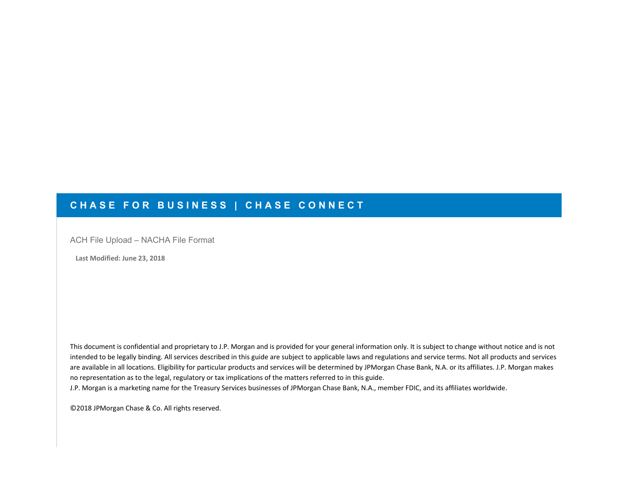## **CHASE FOR BUSINESS | CHASE CONNECT**

ACH File Upload – NACHA File Format

 **Last Modified: June 23, 2018**

This document is confidential and proprietary to J.P. Morgan and is provided for your general information only. It is subject to change without notice and is not intended to be legally binding. All services described in this guide are subject to applicable laws and regulations and service terms. Not all products and services are available in all locations. Eligibility for particular products and services will be determined by JPMorgan Chase Bank, N.A. or its affiliates. J.P. Morgan makes no representation as to the legal, regulatory or tax implications of the matters referred to in this guide.

 J.P. Morgan is a marketing name for the Treasury Services businesses of JPMorgan Chase Bank, N.A., member FDIC, and its affiliates worldwide.

 ©2018 JPMorgan Chase & Co. All rights reserved.